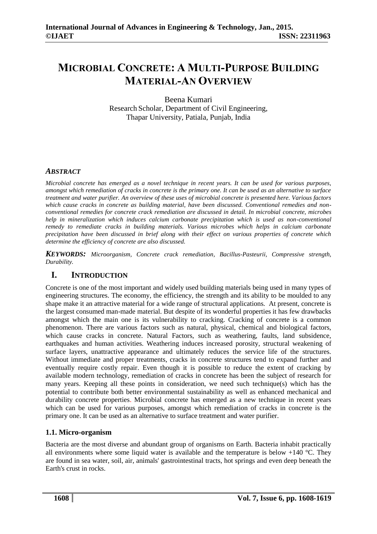# **MICROBIAL CONCRETE: A MULTI-PURPOSE BUILDING MATERIAL-AN OVERVIEW**

Beena Kumari Research Scholar, Department of Civil Engineering, Thapar University, Patiala, Punjab, India

## *ABSTRACT*

*Microbial concrete has emerged as a novel technique in recent years. It can be used for various purposes, amongst which remediation of cracks in concrete is the primary one. It can be used as an alternative to surface treatment and water purifier. An overview of these uses of microbial concrete is presented here. Various factors which cause cracks in concrete as building material, have been discussed. Conventional remedies and nonconventional remedies for concrete crack remediation are discussed in detail. In microbial concrete, microbes help in mineralization which induces calcium carbonate precipitation which is used as non-conventional remedy to remediate cracks in building materials. Various microbes which helps in calcium carbonate precipitation have been discussed in brief along with their effect on various properties of concrete which determine the efficiency of concrete are also discussed.* 

*KEYWORDS: Microorganism, Concrete crack remediation, Bacillus-Pasteurii, Compressive strength, Durability.* 

## **I. INTRODUCTION**

Concrete is one of the most important and widely used building materials being used in many types of engineering structures. The economy, the efficiency, the strength and its ability to be moulded to any shape make it an attractive material for a wide range of structural applications. At present, concrete is the largest consumed man-made material. But despite of its wonderful properties it has few drawbacks amongst which the main one is its vulnerability to cracking. Cracking of concrete is a common phenomenon. There are various factors such as natural, physical, chemical and biological factors, which cause cracks in concrete. Natural Factors, such as weathering, faults, land subsidence, earthquakes and human activities. Weathering induces increased porosity, structural weakening of surface layers, unattractive appearance and ultimately reduces the service life of the structures. Without immediate and proper treatments, cracks in concrete structures tend to expand further and eventually require costly repair. Even though it is possible to reduce the extent of cracking by available modern technology, remediation of cracks in concrete has been the subject of research for many years. Keeping all these points in consideration, we need such technique(s) which has the potential to contribute both better environmental sustainability as well as enhanced mechanical and durability concrete properties. Microbial concrete has emerged as a new technique in recent years which can be used for various purposes, amongst which remediation of cracks in concrete is the primary one. It can be used as an alternative to surface treatment and water purifier.

## **1.1. Micro-organism**

Bacteria are the most diverse and abundant group of organisms on Earth. Bacteria inhabit practically all environments where some liquid water is available and the temperature is below  $+140$  °C. They are found in sea water, soil, air, animals' gastrointestinal tracts, hot springs and even deep beneath the Earth's crust in rocks.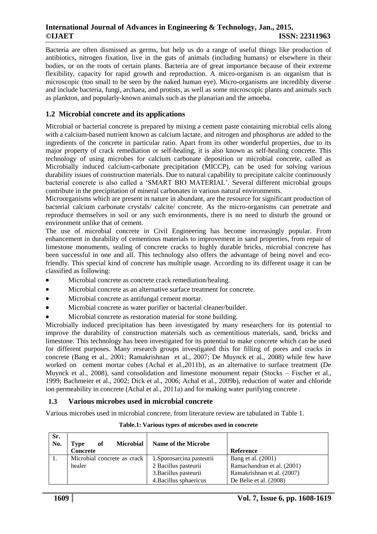Bacteria are often dismissed as germs, but help us do a range of useful things like production of antibiotics, nitrogen fixation, live in the guts of animals (including humans) or elsewhere in their bodies, or on the roots of certain plants. Bacteria are of great importance because of their extreme flexibility, capacity for rapid growth and reproduction. A micro-organism is an organism that is microscopic (too small to be seen by the naked human eye). Micro-organisms are incredibly diverse and include bacteria, fungi, archaea, and protists, as well as some microscopic plants and animals such as plankton, and popularly-known animals such as the planarian and the amoeba.

## **1.2 Microbial concrete and its applications**

Microbial or bacterial concrete is prepared by mixing a cement paste containing microbial cells along with a calcium-based nutrient known as calcium lactate, and nitrogen and phosphorus are added to the ingredients of the concrete in particular ratio. Apart from its other wonderful properties, due to its major property of crack remediation or self-healing, it is also known as self-healing concrete. This technology of using microbes for calcium carbonate deposition or microbial concrete, called as Microbially induced calcium-carbonate precipitation (MICCP), can be used for solving various durability issues of construction materials. Due to natural capability to precipitate calcite continuously bacterial concrete is also called a 'SMART BIO MATERIAL'. Several different microbial groups contribute in the precipitation of mineral carbonates in various natural environments.

Microorganisms which are present in nature in abundant, are the resource for significant production of bacterial calcium carbonate crystals/ calcite/ concrete. As the micro-organisms can penetrate and reproduce themselves in soil or any such environments, there is no need to disturb the ground or environment unlike that of cement.

The use of microbial concrete in Civil Engineering has become increasingly popular. From enhancement in durability of cementious materials to improvement in sand properties, from repair of limestone monuments, sealing of concrete cracks to highly durable bricks, microbial concrete has been successful in one and all. This technology also offers the advantage of being novel and ecofriendly. This special kind of concrete has multiple usage. According to its different usage it can be classified as following:

- Microbial concrete as concrete crack remediation/healing.
- Microbial concrete as an alternative surface treatment for concrete.
- Microbial concrete as antifungal cement mortar.
- Microbial concrete as water purifier or bacterial cleaner/builder.
- Microbial concrete as restoration material for stone building.

Microbially induced precipitation has been investigated by many researchers for its potential to improve the durability of construction materials such as cementitious materials, sand, bricks and limestone. This technology has been investigated for its potential to make concrete which can be used for different purposes. Many research groups investigated this for filling of pores and cracks in concrete (Bang et al., 2001; Ramakrishnan et al., 2007; De Muynck et al., 2008) while few have worked on cement mortar cubes (Achal et al.,2011b), as an alternative to surface treatment (De Muynck et al., 2008), sand consolidation and limestone monument repair (Stocks – Fischer et al., 1999; Bachmeier et al., 2002; Dick et al., 2006; Achal et al., 2009b), reduction of water and chloride ion permeability in concrete (Achal et al., 2011a) and for making water purifying concrete .

#### **1.3 Various microbes used in microbial concrete**

Various microbes used in microbial concrete, from literature review are tabulated in Table 1.

| Sr.<br>No. | <b>Microbial</b><br>оf<br>Type<br><b>Concrete</b> | <b>Name of the Microbe</b> | <b>Reference</b>           |
|------------|---------------------------------------------------|----------------------------|----------------------------|
|            | Microbial concrete as crack                       | 1. Sporosarcina pasteurii  | Bang et al. (2001)         |
|            | healer                                            | 2 Bacillus pasteurii       | Ramachandran et al. (2001) |
|            |                                                   | 3. Bacillus pasteurii      | Ramakrishnan et al. (2007) |
|            |                                                   | 4. Bacillus sphaericus     | De Belie et al. $(2008)$   |

#### **Table.1: Various types of microbes used in concrete**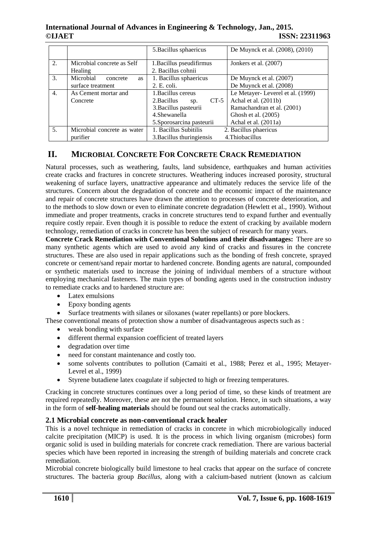|    |                                       | 5. Bacillus sphaericus                         | De Muynck et al. (2008), (2010)  |  |
|----|---------------------------------------|------------------------------------------------|----------------------------------|--|
| 2. | Microbial concrete as Self<br>Healing | 1. Bacillus pseudifirmus<br>2. Bacillus cohnii | Jonkers et al. (2007)            |  |
| 3. | Microbial<br>concrete<br><b>as</b>    | 1. Bacillus sphaericus                         | De Muynck et al. (2007)          |  |
|    | surface treatment                     | 2. E. coli.                                    | De Muynck et al. (2008)          |  |
| 4. | As Cement mortar and                  | 1. Bacillus cereus                             | Le Metayer-Leverel et al. (1999) |  |
|    | Concrete                              | $CT-5$<br>2. Bacillus<br>Sp.                   | Achal et al. (2011b)             |  |
|    |                                       | 3. Bacillus pasteurii                          | Ramachandran et al. (2001)       |  |
|    |                                       | 4.Shewanella                                   | Ghosh et al. (2005)              |  |
|    |                                       | 5. Sporosarcina pasteurii                      | Achal et al. (2011a)             |  |
| 5. | Microbial concrete as water           | 1. Bacillus Subitilis                          | 2. Bacillus phaericus            |  |
|    | purifier                              | 3. Bacillus thuringiensis                      | 4. Thiobacillus                  |  |

## **II. MICROBIAL CONCRETE FOR CONCRETE CRACK REMEDIATION**

Natural processes, such as weathering, faults, land subsidence, earthquakes and human activities create cracks and fractures in concrete structures. Weathering induces increased porosity, structural weakening of surface layers, unattractive appearance and ultimately reduces the service life of the structures. Concern about the degradation of concrete and the economic impact of the maintenance and repair of concrete structures have drawn the attention to processes of concrete deterioration, and to the methods to slow down or even to eliminate concrete degradation (Hewlett et al., 1990). Without immediate and proper treatments, cracks in concrete structures tend to expand further and eventually require costly repair. Even though it is possible to reduce the extent of cracking by available modern technology, remediation of cracks in concrete has been the subject of research for many years.

**Concrete Crack Remediation with Conventional Solutions and their disadvantages:** There are so many synthetic agents which are used to avoid any kind of cracks and fissures in the concrete structures. These are also used in repair applications such as the bonding of fresh concrete, sprayed concrete or cement/sand repair mortar to hardened concrete. Bonding agents are natural, compounded or synthetic materials used to increase the joining of individual members of a structure without employing mechanical fasteners. The main types of bonding agents used in the construction industry to remediate cracks and to hardened structure are:

- Latex emulsions
- Epoxy bonding agents
- Surface treatments with silanes or siloxanes (water repellants) or pore blockers.

These conventional means of protection show a number of disadvantageous aspects such as :

- weak bonding with surface
- different thermal expansion coefficient of treated layers
- degradation over time
- need for constant maintenance and costly too.
- some solvents contributes to pollution (Camaiti et al., 1988; Perez et al., 1995; Metayer-Levrel et al., 1999)
- Styrene butadiene latex coagulate if subjected to high or freezing temperatures.

Cracking in concrete structures continues over a long period of time, so these kinds of treatment are required repeatedly. Moreover, these are not the permanent solution. Hence, in such situations, a way in the form of **self-healing materials** should be found out seal the cracks automatically.

## **2.1 Microbial concrete as non-conventional crack healer**

This is a novel technique in remediation of cracks in concrete in which microbiologically induced calcite precipitation (MICP) is used. It is the process in which living organism (microbes) form organic solid is used in building materials for concrete crack remediation. There are various bacterial species which have been reported in increasing the strength of building materials and concrete crack remediation.

Microbial concrete biologically build limestone to heal cracks that appear on the surface of concrete structures. The bacteria group *Bacillus*, along with a calcium-based nutrient (known as calcium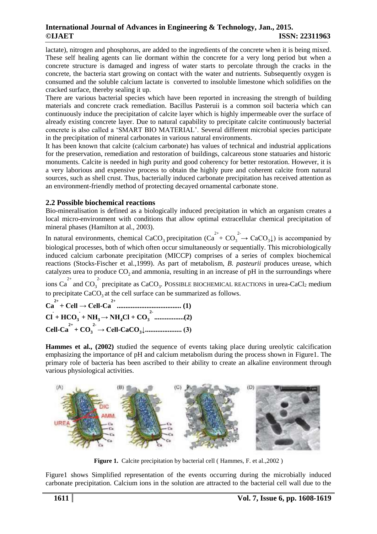lactate), nitrogen and phosphorus, are added to the ingredients of the concrete when it is being mixed. These self healing agents can lie dormant within the concrete for a very long period but when a concrete structure is damaged and ingress of water starts to percolate through the cracks in the concrete, the bacteria start growing on contact with the water and nutrients. Subsequently oxygen is consumed and the soluble calcium lactate is converted to insoluble limestone which solidifies on the cracked surface, thereby sealing it up.

There are various bacterial species which have been reported in increasing the strength of building materials and concrete crack remediation. Bacillus Pasteruii is a common soil bacteria which can continuously induce the precipitation of calcite layer which is highly impermeable over the surface of already existing concrete layer. Due to natural capability to precipitate calcite continuously bacterial concrete is also called a 'SMART BIO MATERIAL'. Several different microbial species participate in the precipitation of mineral carbonates in various natural environments.

It has been known that calcite (calcium carbonate) has values of technical and industrial applications for the preservation, remediation and restoration of buildings, calcareous stone statuaries and historic monuments. Calcite is needed in high purity and good coherency for better restoration. However, it is a very laborious and expensive process to obtain the highly pure and coherent calcite from natural sources, such as shell crust. Thus, bacterially induced carbonate precipitation has received attention as an environment-friendly method of protecting decayed ornamental carbonate stone.

#### **2.2 Possible biochemical reactions**

Bio-mineralisation is defined as a biologically induced precipitation in which an organism creates a local micro-environment with conditions that allow optimal extracellular chemical precipitation of mineral phases (Hamilton at al., 2003).

In natural environments, chemical CaCO<sub>3</sub> precipitation  $(Ca^{2+} + CO_3^2 \rightarrow CaCO_3\downarrow)$  is accompanied by biological processes, both of which often occur simultaneously or sequentially. This microbiologically induced calcium carbonate precipitation (MICCP) comprises of a series of complex biochemical reactions (Stocks-Fischer et al.,1999). As part of metabolism, *B. pasteurii* produces urease, which catalyzes urea to produce  $CO_2$  and ammonia, resulting in an increase of pH in the surroundings where

ions  $Ca^{2+}$  and  $CO_3^2$  precipitate as  $CaCO_3$ . POSSIBLE BIOCHEMICAL REACTIONS in urea-CaCl<sub>2</sub> medium to precipitate  $CaCO<sub>3</sub>$  at the cell surface can be summarized as follows.

$$
Ca2+ + Cell \rightarrow Cell-Ca2+ \dots
$$
 (1)  
Cl + HCO<sub>3</sub> + NH<sub>3</sub>  $\rightarrow$  NH<sub>4</sub>Cl + CO<sub>3</sub><sup>2+</sup> \dots (2)  
Cell-Ca<sup>2+</sup> + CO<sub>3</sub><sup>2-</sup>  $\rightarrow$  Cell-CaCO<sub>3</sub> $\downarrow$  \dots (3)

**Hammes et al., (2002)** studied the sequence of events taking place during ureolytic calcification emphasizing the importance of pH and calcium metabolism during the process shown in Figure1. The primary role of bacteria has been ascribed to their ability to create an alkaline environment through various physiological activities.



**Figure 1.** Calcite precipitation by bacterial cell (Hammes, F. et al., 2002)

Figure1 shows Simplified representation of the events occurring during the microbially induced carbonate precipitation. Calcium ions in the solution are attracted to the bacterial cell wall due to the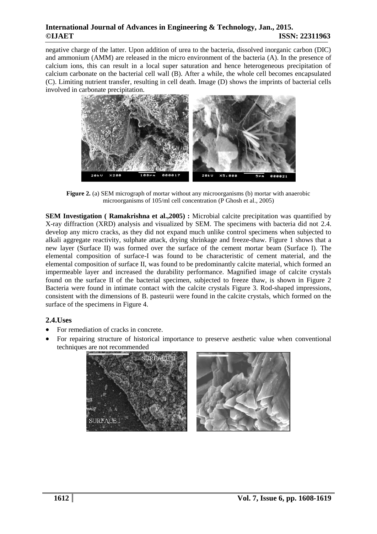negative charge of the latter. Upon addition of urea to the bacteria, dissolved inorganic carbon (DIC) and ammonium (AMM) are released in the micro environment of the bacteria (A). In the presence of calcium ions, this can result in a local super saturation and hence heterogeneous precipitation of calcium carbonate on the bacterial cell wall (B). After a while, the whole cell becomes encapsulated (C). Limiting nutrient transfer, resulting in cell death. Image (D) shows the imprints of bacterial cells involved in carbonate precipitation.



**Figure 2.** (a) SEM micrograph of mortar without any microorganisms (b) mortar with anaerobic microorganisms of 105/ml cell concentration (P Ghosh et al., 2005)

**SEM Investigation ( Ramakrishna et al.,2005) :** Microbial calcite precipitation was quantified by X-ray diffraction (XRD) analysis and visualized by SEM. The specimens with bacteria did not 2.4. develop any micro cracks, as they did not expand much unlike control specimens when subjected to alkali aggregate reactivity, sulphate attack, drying shrinkage and freeze-thaw. Figure 1 shows that a new layer (Surface II) was formed over the surface of the cement mortar beam (Surface I). The elemental composition of surface-I was found to be characteristic of cement material, and the elemental composition of surface II, was found to be predominantly calcite material, which formed an impermeable layer and increased the durability performance. Magnified image of calcite crystals found on the surface II of the bacterial specimen, subjected to freeze thaw, is shown in Figure 2 Bacteria were found in intimate contact with the calcite crystals Figure 3. Rod-shaped impressions, consistent with the dimensions of B. pasteurii were found in the calcite crystals, which formed on the surface of the specimens in Figure 4.

#### **2.4.Uses**

- For remediation of cracks in concrete.
- For repairing structure of historical importance to preserve aesthetic value when conventional techniques are not recommended

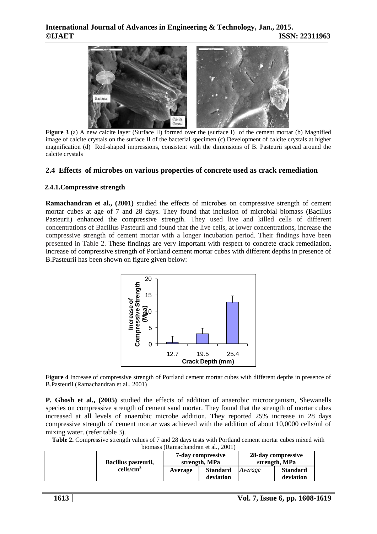

Figure 3 (a) A new calcite layer (Surface II) formed over the (surface I) of the cement mortar (b) Magnified image of calcite crystals on the surface II of the bacterial specimen (c) Development of calcite crystals at higher magnification (d) Rod-shaped impressions, consistent with the dimensions of B. Pasteurii spread around the calcite crystals

#### **2.4 Effects of microbes on various properties of concrete used as crack remediation**

#### **2.4.1.Compressive strength**

**Ramachandran et al., (2001)** studied the effects of microbes on compressive strength of cement mortar cubes at age of 7 and 28 days. They found that inclusion of microbial biomass (Bacillus Pasteurii) enhanced the compressive strength. They used live and killed cells of different concentrations of Bacillus Pasteurii and found that the live cells, at lower concentrations, increase the compressive strength of cement mortar with a longer incubation period. Their findings have been presented in Table 2. These findings are very important with respect to concrete crack remediation. Increase of compressive strength of Portland cement mortar cubes with different depths in presence of B.Pasteurii has been shown on figure given below:



**Figure 4** Increase of compressive strength of Portland cement mortar cubes with different depths in presence of B.Pasteurii (Ramachandran et al., 2001)

**P. Ghosh et al., (2005)** studied the effects of addition of anaerobic microorganism, Shewanells species on compressive strength of cement sand mortar. They found that the strength of mortar cubes increased at all levels of anaerobic microbe addition. They reported 25% increase in 28 days compressive strength of cement mortar was achieved with the addition of about 10,0000 cells/ml of mixing water. (refer table 3).

**Table 2.** Compressive strength values of 7 and 28 days tests with Portland cement mortar cubes mixed with biomass (Ramachandran et al*.*, 2001)

| <u>olomass rivamaonancian et al., 2001 l</u> |                     |                                           |                              |                                     |                              |  |
|----------------------------------------------|---------------------|-------------------------------------------|------------------------------|-------------------------------------|------------------------------|--|
|                                              | Bacillus pasteurii, | <b>7-day compressive</b><br>strength, MPa |                              | 28-day compressive<br>strength, MPa |                              |  |
|                                              | $\text{cells/cm}^3$ | Average                                   | <b>Standard</b><br>deviation | Average                             | <b>Standard</b><br>deviation |  |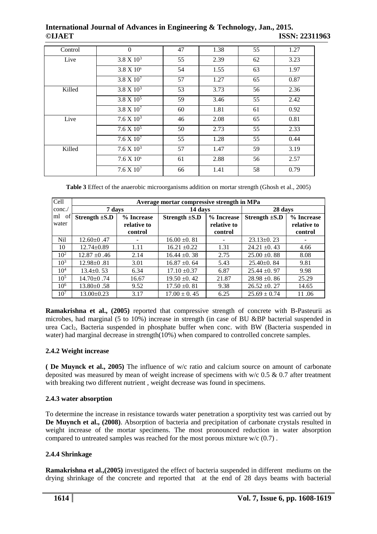| Control | $\Omega$              | 47 | 1.38 | 55 | 1.27 |
|---------|-----------------------|----|------|----|------|
| Live    | $3.8 \times 10^3$     | 55 | 2.39 | 62 | 3.23 |
|         | $3.8 \times 10^{s}$   | 54 | 1.55 | 63 | 1.97 |
|         | $3.8 \times 10^{7}$   | 57 | 1.27 | 65 | 0.87 |
| Killed  | $3.8 \times 10^3$     | 53 | 3.73 | 56 | 2.36 |
|         | $3.8 \times 10^5$     | 59 | 3.46 | 55 | 2.42 |
|         | $3.8 \times 10^{7}$   | 60 | 1.81 | 61 | 0.92 |
| Live    | 7.6 X 10 <sup>3</sup> | 46 | 2.08 | 65 | 0.81 |
|         | $7.6 X 10^5$          | 50 | 2.73 | 55 | 2.33 |
|         | 7.6 X 10 <sup>7</sup> | 55 | 1.28 | 55 | 0.44 |
| Killed  | 7.6 X $10^3$          | 57 | 1.47 | 59 | 3.19 |
|         | $7.6 X 10^s$          | 61 | 2.88 | 56 | 2.57 |
|         | 7.6 X 10 <sup>7</sup> | 66 | 1.41 | 58 | 0.79 |

**Table 3** Effect of the anaerobic microorganisms addition on mortar strength (Ghosh et al., 2005)

| Cell              | Average mortar compressive strength in MPa |                        |                    |                        |                    |                        |
|-------------------|--------------------------------------------|------------------------|--------------------|------------------------|--------------------|------------------------|
| cone.             | 7 days                                     |                        | 14 days            |                        | 28 days            |                        |
| ml<br>of<br>water | Strength $\pm$ S.D                         | % Increase             | Strength $\pm$ S.D | % Increase             | Strength $\pm$ S.D | % Increase             |
|                   |                                            | relative to<br>control |                    | relative to<br>control |                    | relative to<br>control |
| Nil               | $12.60 \pm 0.47$                           |                        | $16.00 \pm 0.81$   |                        | $23.13 \pm 0.23$   |                        |
| 10                | $12.74 \pm 0.89$                           | 1.11                   | $16.21 \pm 0.22$   | 1.31                   | $24.21 \pm 0.43$   | 4.66                   |
| 10 <sup>2</sup>   | $12.87 \pm 0.46$                           | 2.14                   | $16.44 \pm 0.38$   | 2.75                   | $25.00 \pm 0.88$   | 8.08                   |
| $10^{3}$          | $12.98 \pm 0.81$                           | 3.01                   | $16.87 \pm 0.64$   | 5.43                   | $25.40\pm0.84$     | 9.81                   |
| $10^{4}$          | $13.4 \pm 0.53$                            | 6.34                   | $17.10 \pm 0.37$   | 6.87                   | $25.44 \pm 0.97$   | 9.98                   |
| $10^{5}$          | $14.70 \pm 0.74$                           | 16.67                  | $19.50 \pm 0.42$   | 21.87                  | $28.98 \pm 0.86$   | 25.29                  |
| $10^{6}$          | $13.80 \pm 0.58$                           | 9.52                   | $17.50 \pm 0.81$   | 9.38                   | $26.52 \pm 0.27$   | 14.65                  |
| 10 <sup>7</sup>   | $13.00 \pm 0.23$                           | 3.17                   | $17.00 \pm 0.45$   | 6.25                   | $25.69 \pm 0.74$   | 11.06                  |

**Ramakrishna et al., (2005)** reported that compressive strength of concrete with B-Pasteurii as microbes, had marginal (5 to 10%) increase in strength (in case of BU &BP bacterial suspended in urea Cacl<sub>2</sub>, Bacteria suspended in phosphate buffer when conc. with BW (Bacteria suspended in water) had marginal decrease in strength(10%) when compared to controlled concrete samples.

## **2.4.2 Weight increase**

**( De Muynck et al., 2005)** The influence of w/c ratio and calcium source on amount of carbonate deposited was measured by mean of weight increase of specimens with w/c 0.5 & 0.7 after treatment with breaking two different nutrient, weight decrease was found in specimens.

## **2.4.3 water absorption**

To determine the increase in resistance towards water penetration a sporptivity test was carried out by **De Muynch et al., (2008)**. Absorption of bacteria and precipitation of carbonate crystals resulted in weight increase of the mortar specimens. The most pronounced reduction in water absorption compared to untreated samples was reached for the most porous mixture  $w/c$  (0.7).

#### **2.4.4 Shrinkage**

**Ramakrishna et al.,(2005)** investigated the effect of bacteria suspended in different mediums on the drying shrinkage of the concrete and reported that at the end of 28 days beams with bacterial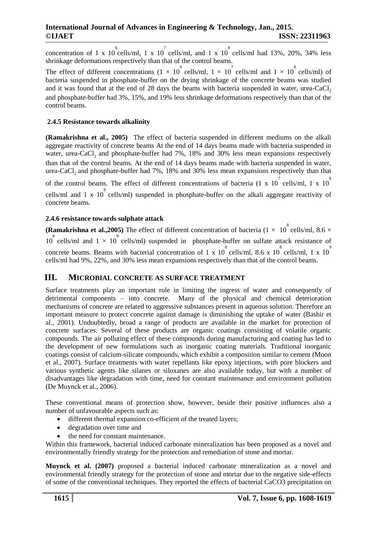concentration of 1 x 10  $^{6}$  cells/ml, 1 x 10  $^{7}$  cells/ml, and 1 x 10  $^{8}$  cells/ml had 13%, 20%, 34% less shrinkage deformations respectively than that of the control beams.

The effect of different concentrations  $(1 \times 10^6 \text{ cells/ml}, 1 \times 10^7 \text{ cells/ml}$  and  $1 \times 10^8 \text{ cells/ml})$  of bacteria suspended in phosphate-buffer on the drying shrinkage of the concrete beams was studied and it was found that at the end of 28 days the beams with bacteria suspended in water, urea-CaCl<sub>2</sub> and phosphate-buffer had 3%, 15%, and 19% less shrinkage deformations respectively than that of the control beams.

#### **2.4.5 Resistance towards alkalinity**

**(Ramakrishna et al., 2005)** The effect of bacteria suspended in different mediums on the alkali aggregate reactivity of concrete beams At the end of 14 days beams made with bacteria suspended in water, urea-CaCl<sub>2</sub> and phosphate-buffer had 7%, 18% and 30% less mean expansions respectively than that of the control beams. At the end of 14 days beams made with bacteria suspended in water, urea-CaCl<sub>2</sub> and phosphate-buffer had 7%, 18% and 30% less mean expansions respectively than that of the control beams. The effect of different concentrations of bacteria (1 x 10<sup>7</sup> cells/ml, 1 x 10<sup>8</sup>

cells/ml and 1 x 10<sup>9</sup> cells/ml) suspended in phosphate-buffer on the alkali aggregate reactivity of concrete beams.

#### **2.4.6 resistance towards sulphate attack**

**(Ramakrishna et al., 2005)** The effect of different concentration of bacteria ( $1 \times 10^8$  cells/ml,  $8.6 \times$  $10^{8}$  cells/ml and  $1 \times 10^{9}$  cells/ml) suspended in phosphate-buffer on sulfate attack resistance of concrete beams. Beams with bacterial concentration of 1 x  $10^8$  cells/ml, 8.6 x  $10^8$  cells/ml, 1 x  $10^9$ cells/ml had 9%, 22%, and 30% less mean expansions respectively than that of the control beams.

## **III. MICROBIAL CONCRETE AS SURFACE TREATMENT**

Surface treatments play an important role in limiting the ingress of water and consequently of detrimental components – into concrete. Many of the physical and chemical deterioration mechanisms of concrete are related to aggressive substances present in aqueous solution. Therefore an important measure to protect concrete against damage is diminishing the uptake of water (Bashir et al., 2001). Undoubtedly, broad a range of products are available in the market for protection of concrete surfaces. Several of these products are organic coatings consisting of volatile organic compounds. The air polluting effect of these compounds during manufacturing and coating has led to the development of new formulations such as inorganic coating materials. Traditional inorganic coatings consist of calcium-silicate compounds, which exhibit a composition similar to cement (Moon et al., 2007). Surface treatments with water repellants like epoxy injections, with pore blockers and various synthetic agents like silanes or siloxanes are also available today, but with a number of disadvantages like degradation with time, need for constant maintenance and environment pollution (De Muynck et al., 2006).

These conventional means of protection show, however, beside their positive influences also a number of unfavourable aspects such as:

- different thermal expansion co-efficient of the treated layers;
- degradation over time and
- the need for constant maintenance.

Within this framework, bacterial induced carbonate mineralization has been proposed as a novel and environmentally friendly strategy for the protection and remediation of stone and mortar.

**Muynck et al. (2007)** proposed a bacterial induced carbonate mineralization as a novel and environmental friendly strategy for the protection of stone and mortar due to the negative side-effects of some of the conventional techniques. They reported the effects of bacterial CaCO3 precipitation on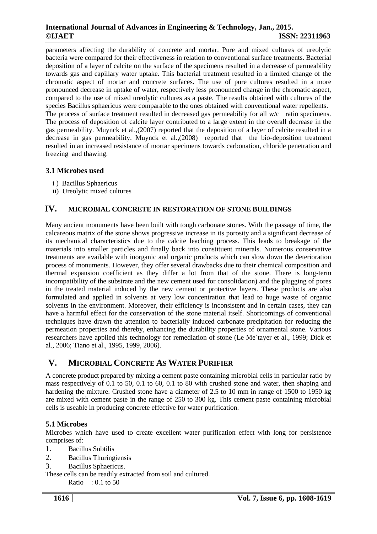parameters affecting the durability of concrete and mortar. Pure and mixed cultures of ureolytic bacteria were compared for their effectiveness in relation to conventional surface treatments. Bacterial deposition of a layer of calcite on the surface of the specimens resulted in a decrease of permeability towards gas and capillary water uptake. This bacterial treatment resulted in a limited change of the chromatic aspect of mortar and concrete surfaces. The use of pure cultures resulted in a more pronounced decrease in uptake of water, respectively less pronounced change in the chromatic aspect, compared to the use of mixed ureolytic cultures as a paste. The results obtained with cultures of the species Bacillus sphaericus were comparable to the ones obtained with conventional water repellents. The process of surface treatment resulted in decreased gas permeability for all w/c ratio specimens.

The process of deposition of calcite layer contributed to a large extent in the overall decrease in the gas permeability. Muynck et al.,(2007) reported that the deposition of a layer of calcite resulted in a decrease in gas permeability. Muynck et al.,(2008) reported that the bio-deposition treatment resulted in an increased resistance of mortar specimens towards carbonation, chloride penetration and freezing and thawing.

## **3.1 Microbes used**

- i ) Bacillus Sphaericus
- ii) Ureolytic mixed cultures

## **IV. MICROBIAL CONCRETE IN RESTORATION OF STONE BUILDINGS**

Many ancient monuments have been built with tough carbonate stones. With the passage of time, the calcareous matrix of the stone shows progressive increase in its porosity and a significant decrease of its mechanical characteristics due to the calcite leaching process. This leads to breakage of the materials into smaller particles and finally back into constituent minerals. Numerous conservative treatments are available with inorganic and organic products which can slow down the deterioration process of monuments. However, they offer several drawbacks due to their chemical composition and thermal expansion coefficient as they differ a lot from that of the stone. There is long-term incompatibility of the substrate and the new cement used for consolidation) and the plugging of pores in the treated material induced by the new cement or protective layers. These products are also formulated and applied in solvents at very low concentration that lead to huge waste of organic solvents in the environment. Moreover, their efficiency is inconsistent and in certain cases, they can have a harmful effect for the conservation of the stone material itself. Shortcomings of conventional techniques have drawn the attention to bacterially induced carbonate precipitation for reducing the permeation properties and thereby, enhancing the durability properties of ornamental stone. Various researchers have applied this technology for remediation of stone (Le Me´tayer et al., 1999; Dick et al., 2006; Tiano et al., 1995, 1999, 2006).

## **V. MICROBIAL CONCRETE AS WATER PURIFIER**

A concrete product prepared by mixing a cement paste containing microbial cells in particular ratio by mass respectively of 0.1 to 50, 0.1 to 60, 0.1 to 80 with crushed stone and water, then shaping and hardening the mixture. Crushed stone have a diameter of 2.5 to 10 mm in range of 1500 to 1950 kg are mixed with cement paste in the range of 250 to 300 kg. This cement paste containing microbial cells is useable in producing concrete effective for water purification.

## **5.1 Microbes**

Microbes which have used to create excellent water purification effect with long for persistence comprises of:

- 1. Bacillus Subtilis
- 2. Bacillus Thuringiensis
- 3. Bacillus Sphaericus.

These cells can be readily extracted from soil and cultured.

Ratio :  $0.1$  to  $50$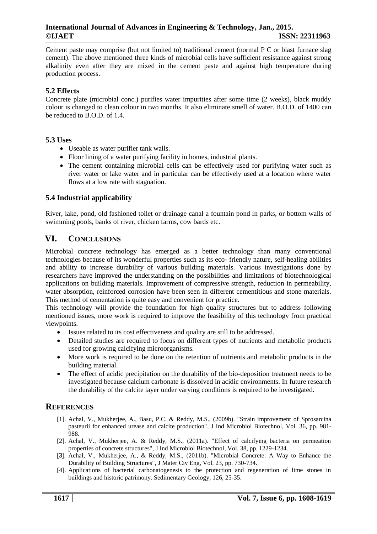Cement paste may comprise (but not limited to) traditional cement (normal P C or blast furnace slag cement). The above mentioned three kinds of microbial cells have sufficient resistance against strong alkalinity even after they are mixed in the cement paste and against high temperature during production process.

## **5.2 Effects**

Concrete plate (microbial conc.) purifies water impurities after some time (2 weeks), black muddy colour is changed to clean colour in two months. It also eliminate smell of water. B.O.D. of 1400 can be reduced to B.O.D. of 1.4.

#### **5.3 Uses**

- Useable as water purifier tank walls.
- Floor lining of a water purifying facility in homes, industrial plants.
- The cement containing microbial cells can be effectively used for purifying water such as river water or lake water and in particular can be effectively used at a location where water flows at a low rate with stagnation.

#### **5.4 Industrial applicability**

River, lake, pond, old fashioned toilet or drainage canal a fountain pond in parks, or bottom walls of swimming pools, banks of river, chicken farms, cow bards etc.

## **VI. CONCLUSIONS**

Microbial concrete technology has emerged as a better technology than many conventional technologies because of its wonderful properties such as its eco- friendly nature, self-healing abilities and ability to increase durability of various building materials. Various investigations done by researchers have improved the understanding on the possibilities and limitations of biotechnological applications on building materials. Improvement of compressive strength, reduction in permeability, water absorption, reinforced corrosion have been seen in different cementitious and stone materials. This method of cementation is quite easy and convenient for practice.

This technology will provide the foundation for high quality structures but to address following mentioned issues, more work is required to improve the feasibility of this technology from practical viewpoints.

- Issues related to its cost effectiveness and quality are still to be addressed.
- Detailed studies are required to focus on different types of nutrients and metabolic products used for growing calcifying microorganisms.
- More work is required to be done on the retention of nutrients and metabolic products in the building material.
- The effect of acidic precipitation on the durability of the bio-deposition treatment needs to be investigated because calcium carbonate is dissolved in acidic environments. In future research the durability of the calcite layer under varying conditions is required to be investigated.

## **REFERENCES**

- [1]. Achal, V., Mukherjee, A., Basu, P.C. & Reddy, M.S., (2009b). "Strain improvement of Sprosarcina pasteurii for enhanced urease and calcite production", J Ind Microbiol Biotechnol, Vol. 36, pp. 981- 988.
- [2]. Achal, V., Mukherjee, A. & Reddy, M.S., (2011a). "Effect of calcifying bacteria on permeation properties of concrete structures", J Ind Microbiol Biotechnol*,* Vol. 38, pp. 1229-1234.
- [3]. Achal, V., Mukherjee, A., & Reddy, M.S., (2011b). "Microbial Concrete: A Way to Enhance the Durability of Building Structures", J Mater Civ Eng*,* Vol. 23, pp. 730-734.
- [4]. Applications of bacterial carbonatogenesis to the protection and regeneration of lime stones in buildings and historic patrimony. Sedimentary Geology, 126, 25-35.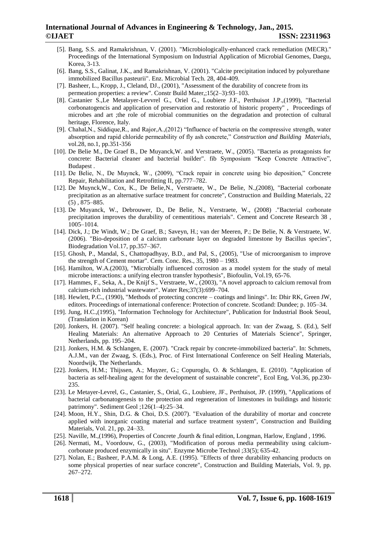- [5]. Bang, S.S. and Ramakrishnan, V. (2001). "Microbiologically-enhanced crack remediation (MECR)." Proceedings of the International Symposium on Industrial Application of Microbial Genomes, Daegu, Korea, 3-13.
- [6]. Bang, S.S., Galinat, J.K., and Ramakrishnan, V. (2001). "Calcite precipitation induced by polyurethane immobilized Bacillus pasteurii". Enz. Microbial Tech. 28, 404-409.
- [7]. Basheer, L., Kropp, J., Cleland, DJ., (2001), "Assessment of the durability of concrete from its permeation properties: a review". Constr Build Mater,;15(2–3):93–103.
- [8]. Castanier S.,Le Metalayer-Levvrel G., Oriel G., Loubiere J.F., Perthuisot J.P.,(1999), "Bacterial corbonatogencis and application of preservation and restoratio of historic property" , Proceedings of microbes and art ;the role of microbial communities on the degradation and protection of cultural heritage, Florence, Italy.
- [9]. Chahal,N., Siddique,R., and Rajor,A.,(2012) "Influence of bacteria on the compressive strength, water absorption and rapid chloride permeability of fly ash concrete," *Construction and Building Materials,*  vol.28, no.1, pp.351-356
- [10]. De Belie M., De Graef B., De Muyanck,W. and Verstraete, W., (2005). "Bacteria as protagonists for concrete: Bacterial cleaner and bacterial builder". fib Symposium "Keep Concrete Attractive", Budapest .
- [11]. De Belie, N., De Muynck, W., (2009), "Crack repair in concrete using bio deposition," Concrete Repair, Rehabilitation and Retrofitting II, pp.777–782.
- [12]. De Muynck,W., Cox, K., De Belie,N., Verstraete, W., De Belie, N.,(2008), "Bacterial corbonate precipitation as an alternative surface treatment for concrete", Construction and Building Materials, 22 (5) , 875–885.
- [13]. De Muyanck, W., Debrouwer, D., De Belie, N., Verstraete, W., (2008) ."Bacterial corbonate precipitation improves the durability of cementitious materials". Cement and Concrete Research 38 , 1005–1014.
- [14]. Dick, J.; De Windt, W.; De Graef, B.; Saveyn, H.; van der Meeren, P.; De Belie, N. & Verstraete, W. (2006). "Bio-deposition of a calcium carbonate layer on degraded limestone by Bacillus species", Biodegradation Vol.17, pp.357–367.
- [15]. Ghosh, P., Mandal, S., Chattopadhyay, B.D., and Pal, S., (2005), "Use of microorganism to improve the strength of Cement mortar". Cem. Conc. Res., 35, 1980 – 1983.
- [16]. Hamilton, W.A.(2003), "Microbially influenced corrosion as a model system for the study of metal microbe interactions: a unifying electron transfer hypothesis", Biofoulin, Vol.19, 65-76.
- [17]. Hammes, F., Seka, A., De Knijf S., Verstraete, W., (2003), "A novel approach to calcium removal from calcium-rich industrial wastewater". Water Res;37(3):699–704.
- [18]. Hewlett, P.C., (1990), "Methods of protecting concrete coatings and linings". In: Dhir RK, Green JW, editors. Proceedings of international conference: Protection of concrete. Scotland: Dundee; p. 105–34.
- [19]. Jung, H.C.,(1995), "Information Technology for Architecture", Publication for Industrial Book Seoul, (Translation in Korean)
- [20]. Jonkers, H. (2007). "Self healing concrete: a biological approach*.* In: van der Zwaag, S. (Ed.), Self Healing Materials: An alternative Approach to 20 Centuries of Materials Science", Springer, Netherlands, pp. 195–204.
- [21]. Jonkers, H.M. & Schlangen, E. (2007). "Crack repair by concrete-immobilized bacteria". In: Schmets, A.J.M., van der Zwaag, S. (Eds.), Proc. of First International Conference on Self Healing Materials, Noordwijk, The Netherlands.
- [22]. Jonkers, H.M.; Thijssen, A.; Muyzer, G.; Copuroglu, O. & Schlangen, E. (2010). "Application of bacteria as self-healing agent for the development of sustainable concrete", Ecol Eng, Vol.36, pp.230- 235.
- [23]. Le Metayer-Levrel, G., Castanier, S., Orial, G., Loubiere, JF., Perthuisot, JP. (1999), "Applications of bacterial carbonatogenesis to the protection and regeneration of limestones in buildings and historic patrimony". Sediment Geol ;126(1–4):25–34.
- [24]. Moon, H.Y., Shin, D.G. & Choi, D.S. (2007). "Evaluation of the durability of mortar and concrete applied with inorganic coating material and surface treatment system", Construction and Building Materials, Vol. 21, pp. 24–33.
- [25]. Naville, M.,(1996), Properties of Concrete ,fourth & final edition, Longman, Harlow, England , 1996.
- [26]. Nermati, M., Voordouw, G., (2003), "Modification of porous media permeability using calciumcorbonate produced enzymically in situ". Enzyme Microbe Technol ;33(5); 635-42.
- [27]. Nolan, E.; Basheer, P.A.M. & Long, A.E. (1995). "Effects of three durability enhancing products on some physical properties of near surface concrete", Construction and Building Materials, Vol. 9, pp. 267–272.